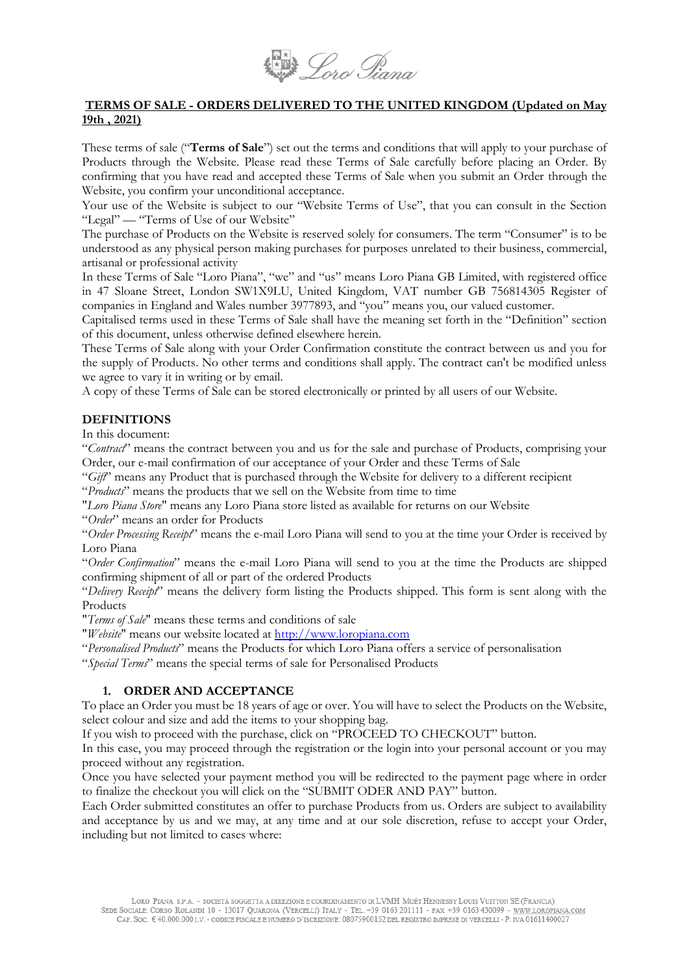

# **TERMS OF SALE - ORDERS DELIVERED TO THE UNITED KINGDOM (Updated on May 19th , 2021)**

These terms of sale ("**Terms of Sale**") set out the terms and conditions that will apply to your purchase of Products through the Website. Please read these Terms of Sale carefully before placing an Order. By confirming that you have read and accepted these Terms of Sale when you submit an Order through the Website, you confirm your unconditional acceptance.

Your use of the Website is subject to our "Website Terms of Use", that you can consult in the Section "Legal" — "Terms of Use of our Website"

The purchase of Products on the Website is reserved solely for consumers. The term "Consumer" is to be understood as any physical person making purchases for purposes unrelated to their business, commercial, artisanal or professional activity

In these Terms of Sale "Loro Piana", "we" and "us" means Loro Piana GB Limited, with registered office in 47 Sloane Street, London SW1X9LU, United Kingdom, VAT number GB 756814305 Register of companies in England and Wales number 3977893, and "you" means you, our valued customer.

Capitalised terms used in these Terms of Sale shall have the meaning set forth in the "Definition" section of this document, unless otherwise defined elsewhere herein.

These Terms of Sale along with your Order Confirmation constitute the contract between us and you for the supply of Products. No other terms and conditions shall apply. The contract can't be modified unless we agree to vary it in writing or by email.

A copy of these Terms of Sale can be stored electronically or printed by all users of our Website.

# **DEFINITIONS**

In this document:

"*Contract*" means the contract between you and us for the sale and purchase of Products, comprising your Order, our e-mail confirmation of our acceptance of your Order and these Terms of Sale

"*Gift*" means any Product that is purchased through the Website for delivery to a different recipient

"*Products*" means the products that we sell on the Website from time to time

"*Loro Piana Store*" means any Loro Piana store listed as available for returns on our Website

"*Order*" means an order for Products

"*Order Processing Receipt*" means the e-mail Loro Piana will send to you at the time your Order is received by Loro Piana

"*Order Confirmation*" means the e-mail Loro Piana will send to you at the time the Products are shipped confirming shipment of all or part of the ordered Products

"*Delivery Receipt*" means the delivery form listing the Products shipped. This form is sent along with the Products

"*Terms of Sale*" means these terms and conditions of sale

"*Website*" means our website located at [http://www.loropiana.com](http://www.loropiana.com/)

"*Personalised Products*" means the Products for which Loro Piana offers a service of personalisation

"*Special Terms*" means the special terms of sale for Personalised Products

# **1. ORDER AND ACCEPTANCE**

To place an Order you must be 18 years of age or over. You will have to select the Products on the Website, select colour and size and add the items to your shopping bag.

If you wish to proceed with the purchase, click on "PROCEED TO CHECKOUT" button.

In this case, you may proceed through the registration or the login into your personal account or you may proceed without any registration.

Once you have selected your payment method you will be redirected to the payment page where in order to finalize the checkout you will click on the "SUBMIT ODER AND PAY" button.

Each Order submitted constitutes an offer to purchase Products from us. Orders are subject to availability and acceptance by us and we may, at any time and at our sole discretion, refuse to accept your Order, including but not limited to cases where: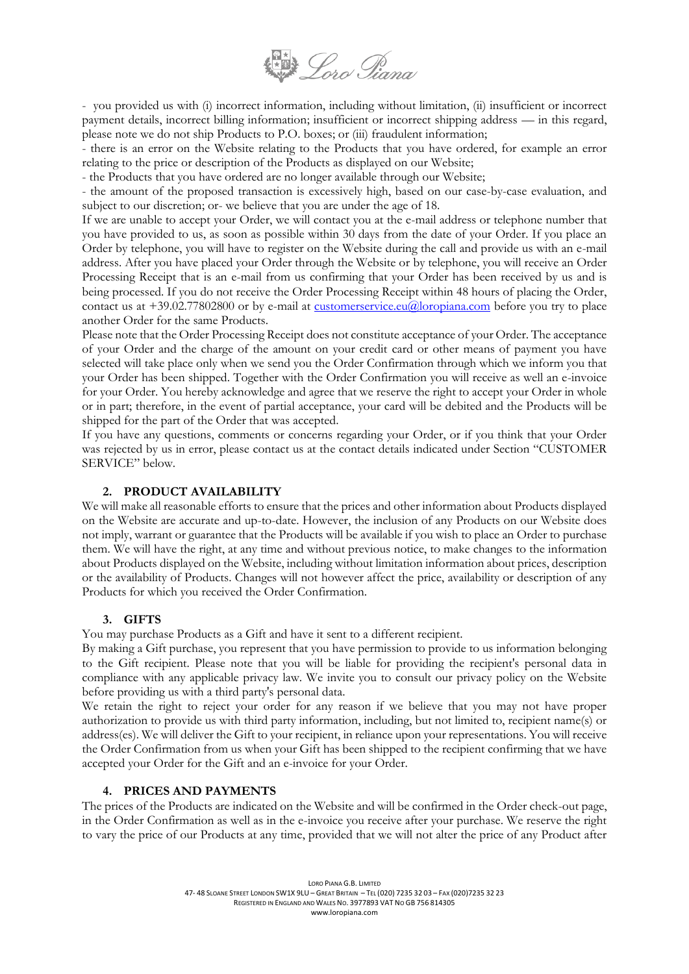

- you provided us with (i) incorrect information, including without limitation, (ii) insufficient or incorrect payment details, incorrect billing information; insufficient or incorrect shipping address — in this regard, please note we do not ship Products to P.O. boxes; or (iii) fraudulent information;

- there is an error on the Website relating to the Products that you have ordered, for example an error relating to the price or description of the Products as displayed on our Website;

- the Products that you have ordered are no longer available through our Website;

- the amount of the proposed transaction is excessively high, based on our case-by-case evaluation, and subject to our discretion; or- we believe that you are under the age of 18.

If we are unable to accept your Order, we will contact you at the e-mail address or telephone number that you have provided to us, as soon as possible within 30 days from the date of your Order. If you place an Order by telephone, you will have to register on the Website during the call and provide us with an e-mail address. After you have placed your Order through the Website or by telephone, you will receive an Order Processing Receipt that is an e-mail from us confirming that your Order has been received by us and is being processed. If you do not receive the Order Processing Receipt within 48 hours of placing the Order, contact us at  $+39.02.77802800$  or by e-mail at [customerservice.eu@loropiana.com](mailto:customerservice.eu@loropiana.com) before you try to place another Order for the same Products.

Please note that the Order Processing Receipt does not constitute acceptance of your Order. The acceptance of your Order and the charge of the amount on your credit card or other means of payment you have selected will take place only when we send you the Order Confirmation through which we inform you that your Order has been shipped. Together with the Order Confirmation you will receive as well an e-invoice for your Order. You hereby acknowledge and agree that we reserve the right to accept your Order in whole or in part; therefore, in the event of partial acceptance, your card will be debited and the Products will be shipped for the part of the Order that was accepted.

If you have any questions, comments or concerns regarding your Order, or if you think that your Order was rejected by us in error, please contact us at the contact details indicated under Section "CUSTOMER SERVICE" below.

# **2. PRODUCT AVAILABILITY**

We will make all reasonable efforts to ensure that the prices and other information about Products displayed on the Website are accurate and up-to-date. However, the inclusion of any Products on our Website does not imply, warrant or guarantee that the Products will be available if you wish to place an Order to purchase them. We will have the right, at any time and without previous notice, to make changes to the information about Products displayed on the Website, including without limitation information about prices, description or the availability of Products. Changes will not however affect the price, availability or description of any Products for which you received the Order Confirmation.

# **3. GIFTS**

You may purchase Products as a Gift and have it sent to a different recipient.

By making a Gift purchase, you represent that you have permission to provide to us information belonging to the Gift recipient. Please note that you will be liable for providing the recipient's personal data in compliance with any applicable privacy law. We invite you to consult our privacy policy on the Website before providing us with a third party's personal data.

We retain the right to reject your order for any reason if we believe that you may not have proper authorization to provide us with third party information, including, but not limited to, recipient name(s) or address(es). We will deliver the Gift to your recipient, in reliance upon your representations. You will receive the Order Confirmation from us when your Gift has been shipped to the recipient confirming that we have accepted your Order for the Gift and an e-invoice for your Order.

# **4. PRICES AND PAYMENTS**

The prices of the Products are indicated on the Website and will be confirmed in the Order check-out page, in the Order Confirmation as well as in the e-invoice you receive after your purchase. We reserve the right to vary the price of our Products at any time, provided that we will not alter the price of any Product after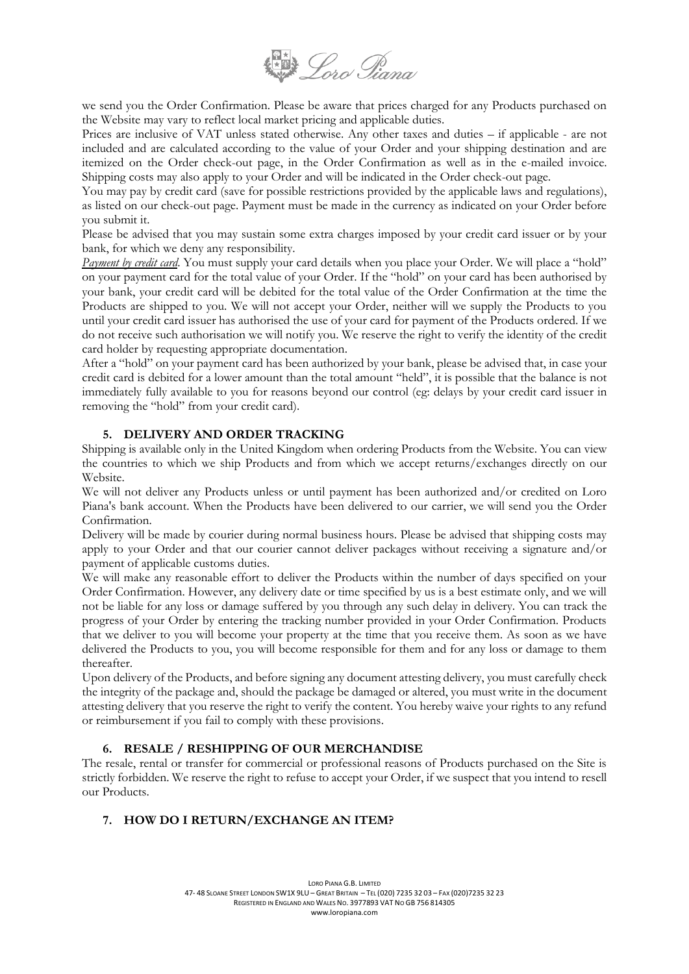

we send you the Order Confirmation. Please be aware that prices charged for any Products purchased on the Website may vary to reflect local market pricing and applicable duties.

Prices are inclusive of VAT unless stated otherwise. Any other taxes and duties – if applicable - are not included and are calculated according to the value of your Order and your shipping destination and are itemized on the Order check-out page, in the Order Confirmation as well as in the e-mailed invoice. Shipping costs may also apply to your Order and will be indicated in the Order check-out page.

You may pay by credit card (save for possible restrictions provided by the applicable laws and regulations), as listed on our check-out page. Payment must be made in the currency as indicated on your Order before you submit it.

Please be advised that you may sustain some extra charges imposed by your credit card issuer or by your bank, for which we deny any responsibility.

*Payment by credit card*. You must supply your card details when you place your Order. We will place a "hold" on your payment card for the total value of your Order. If the "hold" on your card has been authorised by your bank, your credit card will be debited for the total value of the Order Confirmation at the time the Products are shipped to you. We will not accept your Order, neither will we supply the Products to you until your credit card issuer has authorised the use of your card for payment of the Products ordered. If we do not receive such authorisation we will notify you. We reserve the right to verify the identity of the credit card holder by requesting appropriate documentation.

After a "hold" on your payment card has been authorized by your bank, please be advised that, in case your credit card is debited for a lower amount than the total amount "held", it is possible that the balance is not immediately fully available to you for reasons beyond our control (eg: delays by your credit card issuer in removing the "hold" from your credit card).

# **5. DELIVERY AND ORDER TRACKING**

Shipping is available only in the United Kingdom when ordering Products from the Website. You can view the countries to which we ship Products and from which we accept returns/exchanges directly on our Website.

We will not deliver any Products unless or until payment has been authorized and/or credited on Loro Piana's bank account. When the Products have been delivered to our carrier, we will send you the Order Confirmation.

Delivery will be made by courier during normal business hours. Please be advised that shipping costs may apply to your Order and that our courier cannot deliver packages without receiving a signature and/or payment of applicable customs duties.

We will make any reasonable effort to deliver the Products within the number of days specified on your Order Confirmation. However, any delivery date or time specified by us is a best estimate only, and we will not be liable for any loss or damage suffered by you through any such delay in delivery. You can track the progress of your Order by entering the tracking number provided in your Order Confirmation. Products that we deliver to you will become your property at the time that you receive them. As soon as we have delivered the Products to you, you will become responsible for them and for any loss or damage to them thereafter.

Upon delivery of the Products, and before signing any document attesting delivery, you must carefully check the integrity of the package and, should the package be damaged or altered, you must write in the document attesting delivery that you reserve the right to verify the content. You hereby waive your rights to any refund or reimbursement if you fail to comply with these provisions.

# **6. RESALE / RESHIPPING OF OUR MERCHANDISE**

The resale, rental or transfer for commercial or professional reasons of Products purchased on the Site is strictly forbidden. We reserve the right to refuse to accept your Order, if we suspect that you intend to resell our Products.

# **7. HOW DO I RETURN/EXCHANGE AN ITEM?**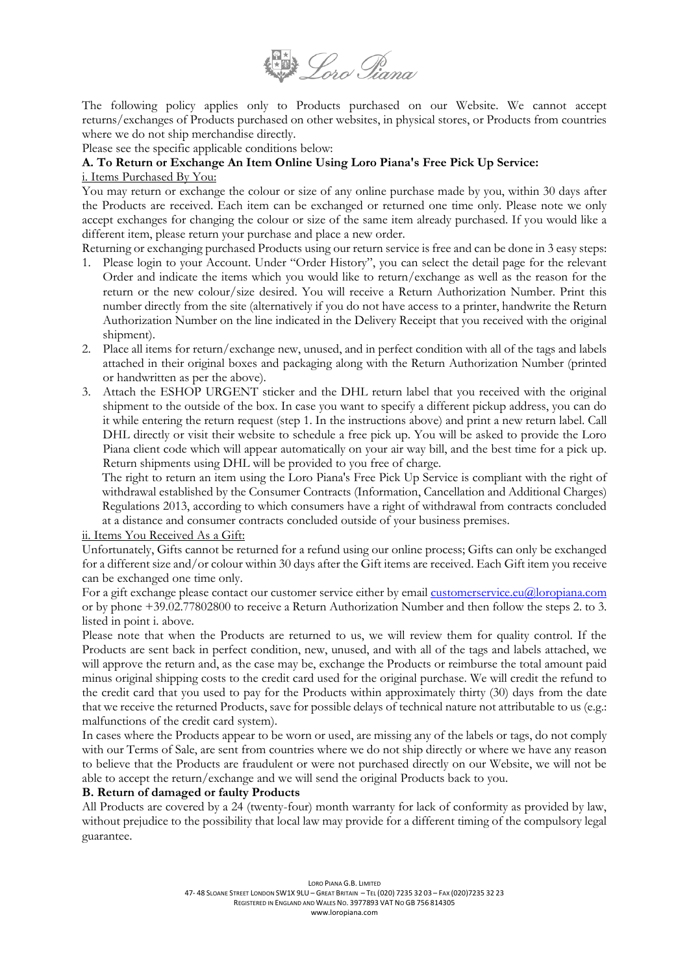

The following policy applies only to Products purchased on our Website. We cannot accept returns/exchanges of Products purchased on other websites, in physical stores, or Products from countries where we do not ship merchandise directly.

Please see the specific applicable conditions below:

# **A. To Return or Exchange An Item Online Using Loro Piana's Free Pick Up Service:**

## i. Items Purchased By You:

You may return or exchange the colour or size of any online purchase made by you, within 30 days after the Products are received. Each item can be exchanged or returned one time only. Please note we only accept exchanges for changing the colour or size of the same item already purchased. If you would like a different item, please return your purchase and place a new order.

Returning or exchanging purchased Products using our return service is free and can be done in 3 easy steps:

- 1. Please login to your Account. Under "Order History", you can select the detail page for the relevant Order and indicate the items which you would like to return/exchange as well as the reason for the return or the new colour/size desired. You will receive a Return Authorization Number. Print this number directly from the site (alternatively if you do not have access to a printer, handwrite the Return Authorization Number on the line indicated in the Delivery Receipt that you received with the original shipment).
- 2. Place all items for return/exchange new, unused, and in perfect condition with all of the tags and labels attached in their original boxes and packaging along with the Return Authorization Number (printed or handwritten as per the above).
- 3. Attach the ESHOP URGENT sticker and the DHL return label that you received with the original shipment to the outside of the box. In case you want to specify a different pickup address, you can do it while entering the return request (step 1. In the instructions above) and print a new return label. Call DHL directly or visit their website to schedule a free pick up. You will be asked to provide the Loro Piana client code which will appear automatically on your air way bill, and the best time for a pick up. Return shipments using DHL will be provided to you free of charge.

The right to return an item using the Loro Piana's Free Pick Up Service is compliant with the right of withdrawal established by the Consumer Contracts (Information, Cancellation and Additional Charges) Regulations 2013, according to which consumers have a right of withdrawal from contracts concluded at a distance and consumer contracts concluded outside of your business premises.

# ii. Items You Received As a Gift:

Unfortunately, Gifts cannot be returned for a refund using our online process; Gifts can only be exchanged for a different size and/or colour within 30 days after the Gift items are received. Each Gift item you receive can be exchanged one time only.

For a gift exchange please contact our customer service either by email [customerservice.eu@loropiana.com](mailto:customerservice.eu@loropiana.com) or by phone +39.02.77802800 to receive a Return Authorization Number and then follow the steps 2. to 3. listed in point i. above.

Please note that when the Products are returned to us, we will review them for quality control. If the Products are sent back in perfect condition, new, unused, and with all of the tags and labels attached, we will approve the return and, as the case may be, exchange the Products or reimburse the total amount paid minus original shipping costs to the credit card used for the original purchase. We will credit the refund to the credit card that you used to pay for the Products within approximately thirty (30) days from the date that we receive the returned Products, save for possible delays of technical nature not attributable to us (e.g.: malfunctions of the credit card system).

In cases where the Products appear to be worn or used, are missing any of the labels or tags, do not comply with our Terms of Sale, are sent from countries where we do not ship directly or where we have any reason to believe that the Products are fraudulent or were not purchased directly on our Website, we will not be able to accept the return/exchange and we will send the original Products back to you.

# **B. Return of damaged or faulty Products**

All Products are covered by a 24 (twenty-four) month warranty for lack of conformity as provided by law, without prejudice to the possibility that local law may provide for a different timing of the compulsory legal guarantee.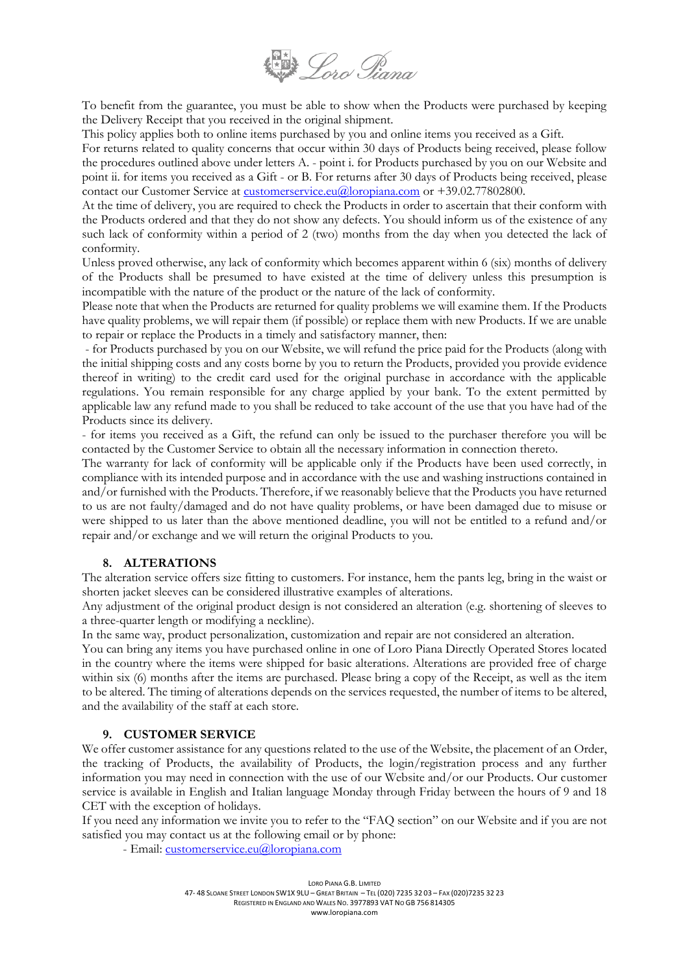

To benefit from the guarantee, you must be able to show when the Products were purchased by keeping the Delivery Receipt that you received in the original shipment.

This policy applies both to online items purchased by you and online items you received as a Gift.

For returns related to quality concerns that occur within 30 days of Products being received, please follow the procedures outlined above under letters A. - point i. for Products purchased by you on our Website and point ii. for items you received as a Gift - or B. For returns after 30 days of Products being received, please contact our Customer Service at [customerservice.eu@loropiana.com](mailto:customerservice.eu@loropiana.com) or +39.02.77802800.

At the time of delivery, you are required to check the Products in order to ascertain that their conform with the Products ordered and that they do not show any defects. You should inform us of the existence of any such lack of conformity within a period of 2 (two) months from the day when you detected the lack of conformity.

Unless proved otherwise, any lack of conformity which becomes apparent within 6 (six) months of delivery of the Products shall be presumed to have existed at the time of delivery unless this presumption is incompatible with the nature of the product or the nature of the lack of conformity.

Please note that when the Products are returned for quality problems we will examine them. If the Products have quality problems, we will repair them (if possible) or replace them with new Products. If we are unable to repair or replace the Products in a timely and satisfactory manner, then:

- for Products purchased by you on our Website, we will refund the price paid for the Products (along with the initial shipping costs and any costs borne by you to return the Products, provided you provide evidence thereof in writing) to the credit card used for the original purchase in accordance with the applicable regulations. You remain responsible for any charge applied by your bank. To the extent permitted by applicable law any refund made to you shall be reduced to take account of the use that you have had of the Products since its delivery.

- for items you received as a Gift, the refund can only be issued to the purchaser therefore you will be contacted by the Customer Service to obtain all the necessary information in connection thereto.

The warranty for lack of conformity will be applicable only if the Products have been used correctly, in compliance with its intended purpose and in accordance with the use and washing instructions contained in and/or furnished with the Products. Therefore, if we reasonably believe that the Products you have returned to us are not faulty/damaged and do not have quality problems, or have been damaged due to misuse or were shipped to us later than the above mentioned deadline, you will not be entitled to a refund and/or repair and/or exchange and we will return the original Products to you.

## **8. ALTERATIONS**

The alteration service offers size fitting to customers. For instance, hem the pants leg, bring in the waist or shorten jacket sleeves can be considered illustrative examples of alterations.

Any adjustment of the original product design is not considered an alteration (e.g. shortening of sleeves to a three-quarter length or modifying a neckline).

In the same way, product personalization, customization and repair are not considered an alteration.

You can bring any items you have purchased online in one of Loro Piana Directly Operated Stores located in the country where the items were shipped for basic alterations. Alterations are provided free of charge within six (6) months after the items are purchased. Please bring a copy of the Receipt, as well as the item to be altered. The timing of alterations depends on the services requested, the number of items to be altered, and the availability of the staff at each store.

## **9. CUSTOMER SERVICE**

We offer customer assistance for any questions related to the use of the Website, the placement of an Order, the tracking of Products, the availability of Products, the login/registration process and any further information you may need in connection with the use of our Website and/or our Products. Our customer service is available in English and Italian language Monday through Friday between the hours of 9 and 18 CET with the exception of holidays.

If you need any information we invite you to refer to the "FAQ section" on our Website and if you are not satisfied you may contact us at the following email or by phone:

- Email: [customerservice.eu@loropiana.com](mailto:customerservice.eu@loropiana.com)

LORO PIANA G.B. LIMITED 47- 48 SLOANE STREET LONDON SW1X 9LU – GREAT BRITAIN – TEL (020) 7235 32 03 – FAX (020)7235 32 23 REGISTERED IN ENGLAND AND WALES NO. 3977893 VAT NO GB 756 814305 www.loropiana.com